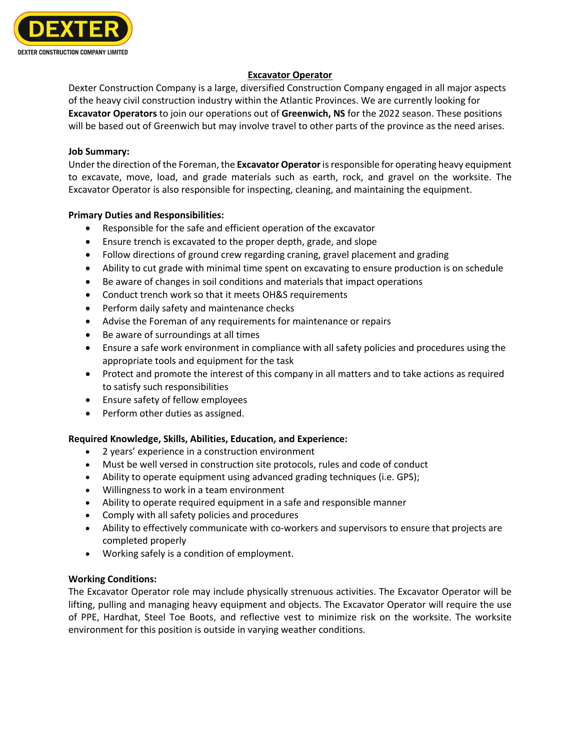

# **Excavator Operator**

Dexter Construction Company is a large, diversified Construction Company engaged in all major aspects of the heavy civil construction industry within the Atlantic Provinces. We are currently looking for **Excavator Operators** to join our operations out of **Greenwich, NS** for the 2022 season. These positions will be based out of Greenwich but may involve travel to other parts of the province as the need arises.

#### **Job Summary:**

Under the direction of the Foreman, the **Excavator Operator**is responsible for operating heavy equipment to excavate, move, load, and grade materials such as earth, rock, and gravel on the worksite. The Excavator Operator is also responsible for inspecting, cleaning, and maintaining the equipment.

#### **Primary Duties and Responsibilities:**

- Responsible for the safe and efficient operation of the excavator
- Ensure trench is excavated to the proper depth, grade, and slope
- Follow directions of ground crew regarding craning, gravel placement and grading
- Ability to cut grade with minimal time spent on excavating to ensure production is on schedule
- Be aware of changes in soil conditions and materials that impact operations
- Conduct trench work so that it meets OH&S requirements
- Perform daily safety and maintenance checks
- Advise the Foreman of any requirements for maintenance or repairs
- Be aware of surroundings at all times
- Ensure a safe work environment in compliance with all safety policies and procedures using the appropriate tools and equipment for the task
- Protect and promote the interest of this company in all matters and to take actions as required to satisfy such responsibilities
- Ensure safety of fellow employees
- Perform other duties as assigned.

# **Required Knowledge, Skills, Abilities, Education, and Experience:**

- 2 years' experience in a construction environment
- Must be well versed in construction site protocols, rules and code of conduct
- Ability to operate equipment using advanced grading techniques (i.e. GPS);
- Willingness to work in a team environment
- Ability to operate required equipment in a safe and responsible manner
- Comply with all safety policies and procedures
- Ability to effectively communicate with co-workers and supervisors to ensure that projects are completed properly
- Working safely is a condition of employment.

# **Working Conditions:**

The Excavator Operator role may include physically strenuous activities. The Excavator Operator will be lifting, pulling and managing heavy equipment and objects. The Excavator Operator will require the use of PPE, Hardhat, Steel Toe Boots, and reflective vest to minimize risk on the worksite. The worksite environment for this position is outside in varying weather conditions.